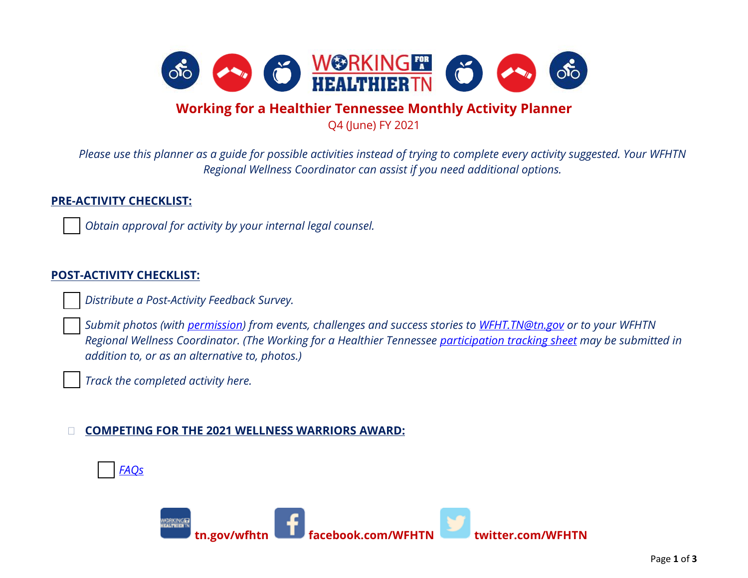

# **Working for a Healthier Tennessee Monthly Activity Planner**

Q4 (June) FY 2021

*Please use this planner as a guide for possible activities instead of trying to complete every activity suggested. Your WFHTN Regional Wellness Coordinator can assist if you need additional options.*

## **PRE-ACTIVITY CHECKLIST:**

*Obtain approval for activity by your internal legal counsel.* 

## **POST-ACTIVITY CHECKLIST:**

*Distribute a Post-Activity Feedback Survey.*

 *Submit photos (with [permission\)](https://www.tn.gov/content/dam/tn/wfhtn/documents/WFHTN%20Photo%20Waiver%20Multi.pdf) from events, challenges and success stories to [WFHT.TN@tn.gov](mailto:WFHT.TN@tn.gov) or to your WFHTN Regional Wellness Coordinator. (The Working for a Healthier Tennessee [participation tracking sheet](https://www.tn.gov/content/dam/tn/wfhtn/documents/WFHT%20Participation%20Tracking%20Sheet.pdf) may be submitted in addition to, or as an alternative to, photos.)* 

*Track the completed activity here.* 

#### **COMPETING FOR THE 2021 WELLNESS WARRIORS AWARD:**



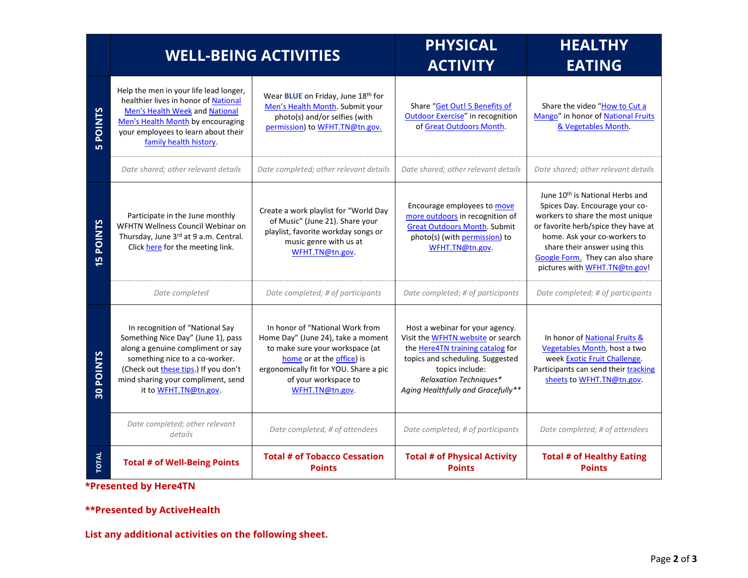|                               | <b>WELL-BEING ACTIVITIES</b>                                                                                                                                                                                                                        |                                                                                                                                                                                                                            | <b>PHYSICAL</b><br><b>ACTIVITY</b>                                                                                                                                                                                                            | <b>HEALTHY</b><br><b>EATING</b>                                                                                                                                                                                                                                                                |
|-------------------------------|-----------------------------------------------------------------------------------------------------------------------------------------------------------------------------------------------------------------------------------------------------|----------------------------------------------------------------------------------------------------------------------------------------------------------------------------------------------------------------------------|-----------------------------------------------------------------------------------------------------------------------------------------------------------------------------------------------------------------------------------------------|------------------------------------------------------------------------------------------------------------------------------------------------------------------------------------------------------------------------------------------------------------------------------------------------|
| <b>POINTS</b><br><b>LO</b>    | Help the men in your life lead longer,<br>healthier lives in honor of National<br>Men's Health Week and National<br>Men's Health Month by encouraging<br>your employees to learn about their<br>family health history.                              | Wear BLUE on Friday, June 18th for<br>Men's Health Month. Submit your<br>photo(s) and/or selfies (with<br>permission) to WFHT.TN@tn.gov.                                                                                   | Share "Get Out! 5 Benefits of<br><b>Outdoor Exercise"</b> in recognition<br>of Great Outdoors Month.                                                                                                                                          | Share the video "How to Cut a<br>Mango" in honor of National Fruits<br>& Vegetables Month.                                                                                                                                                                                                     |
|                               | Date shared; other relevant details                                                                                                                                                                                                                 | Date completed; other relevant details                                                                                                                                                                                     | Date shared; other relevant details                                                                                                                                                                                                           | Date shared; other relevant details                                                                                                                                                                                                                                                            |
| <b>POINTS</b><br>$\mathsf{m}$ | Participate in the June monthly<br>WFHTN Wellness Council Webinar on<br>Thursday, June 3rd at 9 a.m. Central.<br>Click here for the meeting link.                                                                                                   | Create a work playlist for "World Day<br>of Music" (June 21). Share your<br>playlist, favorite workday songs or<br>music genre with us at<br>WFHT.TN@tn.gov.                                                               | Encourage employees to move<br>more outdoors in recognition of<br><b>Great Outdoors Month. Submit</b><br>photo(s) (with permission) to<br>WFHT.TN@tn.gov.                                                                                     | June 10 <sup>th</sup> is National Herbs and<br>Spices Day. Encourage your co-<br>workers to share the most unique<br>or favorite herb/spice they have at<br>home. Ask your co-workers to<br>share their answer using this<br>Google Form. They can also share<br>pictures with WFHT.TN@tn.gov! |
|                               | Date completed                                                                                                                                                                                                                                      | Date completed; # of participants                                                                                                                                                                                          | Date completed; # of participants                                                                                                                                                                                                             | Date completed; # of participants                                                                                                                                                                                                                                                              |
| 30 POINTS                     | In recognition of "National Say<br>Something Nice Day" (June 1), pass<br>along a genuine compliment or say<br>something nice to a co-worker.<br>(Check out these tips.) If you don't<br>mind sharing your compliment, send<br>it to WFHT.TN@tn.gov. | In honor of "National Work from<br>Home Day" (June 24), take a moment<br>to make sure your workspace (at<br>home or at the office) is<br>ergonomically fit for YOU. Share a pic<br>of your workspace to<br>WFHT.TN@tn.gov. | Host a webinar for your agency.<br>Visit the WFHTN website or search<br>the <b>Here4TN</b> training catalog for<br>topics and scheduling. Suggested<br>topics include:<br><b>Relaxation Techniques*</b><br>Aging Healthfully and Gracefully** | In honor of National Fruits &<br>Vegetables Month, host a two<br>week Exotic Fruit Challenge.<br>Participants can send their tracking<br>sheets to WFHT.TN@tn.gov.                                                                                                                             |
|                               | Date completed; other relevant<br>details                                                                                                                                                                                                           | Date completed, # of attendees                                                                                                                                                                                             | Date completed; # of participants                                                                                                                                                                                                             | Date completed; # of attendees                                                                                                                                                                                                                                                                 |
| <b>TOTAL</b>                  | <b>Total # of Well-Being Points</b>                                                                                                                                                                                                                 | <b>Total # of Tobacco Cessation</b><br><b>Points</b>                                                                                                                                                                       | <b>Total # of Physical Activity</b><br><b>Points</b>                                                                                                                                                                                          | <b>Total # of Healthy Eating</b><br><b>Points</b>                                                                                                                                                                                                                                              |

**\*Presented by Here4TN**

#### **\*\*Presented by ActiveHealth**

**List any additional activities on the following sheet.**